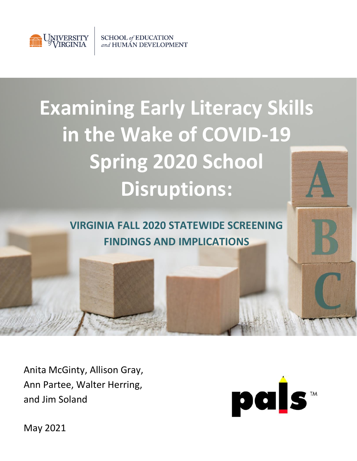

**SCHOOL** of **EDUCATION** and HUMAN DEVELOPMENT

# **Examining Early Literacy Skills in the Wake of COVID-19 Spring 2020 School Disruptions:**

**VIRGINIA FALL 2020 STATEWIDE SCREENING FINDINGS AND IMPLICATIONS**

Anita McGinty, Allison Gray, Ann Partee, Walter Herring, and Jim Soland



May 2021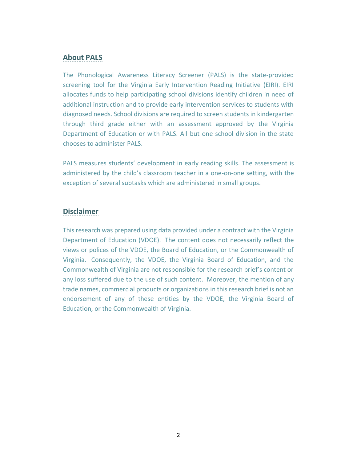#### **About PALS**

The Phonological Awareness Literacy Screener (PALS) is the state-provided screening tool for the Virginia Early Intervention Reading Initiative (EIRI). EIRI allocates funds to help participating school divisions identify children in need of additional instruction and to provide early intervention services to students with diagnosed needs. School divisions are required to screen students in kindergarten through third grade either with an assessment approved by the Virginia Department of Education or with PALS. All but one school division in the state chooses to administer PALS.

PALS measures students' development in early reading skills. The assessment is administered by the child's classroom teacher in a one-on-one setting, with the exception of several subtasks which are administered in small groups.

#### **Disclaimer**

This research was prepared using data provided under a contract with the Virginia Department of Education (VDOE). The content does not necessarily reflect the views or polices of the VDOE, the Board of Education, or the Commonwealth of Virginia. Consequently, the VDOE, the Virginia Board of Education, and the Commonwealth of Virginia are not responsible for the research brief's content or any loss suffered due to the use of such content. Moreover, the mention of any trade names, commercial products or organizations in this research brief is not an endorsement of any of these entities by the VDOE, the Virginia Board of Education, or the Commonwealth of Virginia.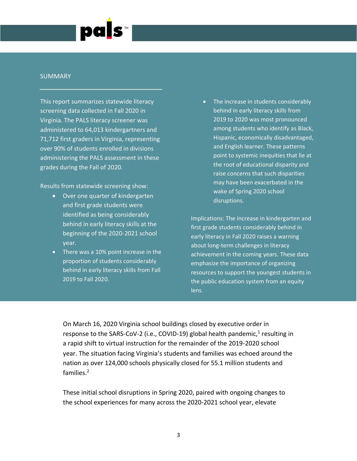

#### **SUMMARY**

This report summarizes statewide literacy screening data collected in Fall 2020 in Virginia. The PALS literacy screener was administered to 64,013 kindergartners and 71,712 first graders in Virginia, representing over 90% of students enrolled in divisions administering the PALS assessment in these grades during the Fall of 2020.

Results from statewide screening show:

- Over one quarter of kindergarten and first grade students were identified as being considerably behind in early literacy skills at the beginning of the 2020-2021 school year.
- There was a 10% point increase in the proportion of students considerably behind in early literacy skills from Fall 2019 to Fall 2020.

The increase in students considerably behind in early literacy skills from 2019 to 2020 was most pronounced among students who identify as Black, Hispanic, economically disadvantaged, and English learner. These patterns point to systemic inequities that lie at the root of educational disparity and raise concerns that such disparities may have been exacerbated in the wake of Spring 2020 school disruptions.

Implications: The increase in kindergarten and first grade students considerably behind in early literacy in Fall 2020 raises a warning about long-term challenges in literacy achievement in the coming years. These data emphasize the importance of organizing resources to support the youngest students in the public education system from an equity lens.

On March 16, 2020 Virginia school buildings closed by executive order in response to the SARS-CoV-2 (i.e., COVID-19) global health pandemic,<sup>1</sup> resulting in a rapid shift to virtual instruction for the remainder of the 2019-2020 school year. The situation facing Virginia's students and families was echoed around the nation as over 124,000 schools physically closed for 55.1 million students and families.<sup>2</sup>

These initial school disruptions in Spring 2020, paired with ongoing changes to the school experiences for many across the 2020-2021 school year, elevate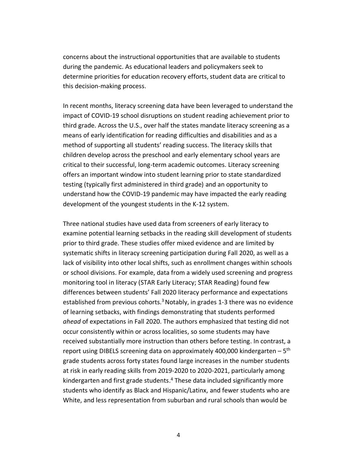concerns about the instructional opportunities that are available to students during the pandemic. As educational leaders and policymakers seek to determine priorities for education recovery efforts, student data are critical to this decision-making process.

In recent months, literacy screening data have been leveraged to understand the impact of COVID-19 school disruptions on student reading achievement prior to third grade. Across the U.S., over half the states mandate literacy screening as a means of early identification for reading difficulties and disabilities and as a method of supporting all students' reading success. The literacy skills that children develop across the preschool and early elementary school years are critical to their successful, long-term academic outcomes. Literacy screening offers an important window into student learning prior to state standardized testing (typically first administered in third grade) and an opportunity to understand how the COVID-19 pandemic may have impacted the early reading development of the youngest students in the K-12 system.

Three national studies have used data from screeners of early literacy to examine potential learning setbacks in the reading skill development of students prior to third grade. These studies offer mixed evidence and are limited by systematic shifts in literacy screening participation during Fall 2020, as well as a lack of visibility into other local shifts, such as enrollment changes within schools or school divisions. For example, data from a widely used screening and progress monitoring tool in literacy (STAR Early Literacy; STAR Reading) found few differences between students' Fall 2020 literacy performance and expectations established from previous cohorts.<sup>3</sup> Notably, in grades 1-3 there was no evidence of learning setbacks, with findings demonstrating that students performed *ahead* of expectations in Fall 2020. The authors emphasized that testing did not occur consistently within or across localities, so some students may have received substantially more instruction than others before testing. In contrast, a report using DIBELS screening data on approximately 400,000 kindergarten – 5<sup>th</sup> grade students across forty states found large increases in the number students at risk in early reading skills from 2019-2020 to 2020-2021, particularly among kindergarten and first grade students. <sup>4</sup> These data included significantly more students who identify as Black and Hispanic/Latinx, and fewer students who are White, and less representation from suburban and rural schools than would be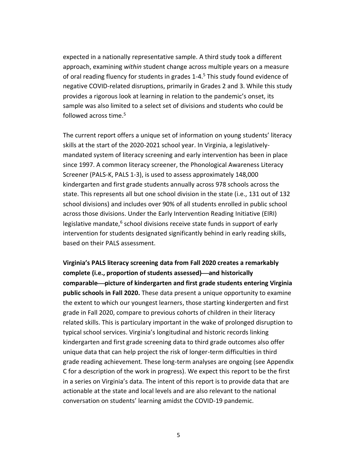expected in a nationally representative sample. A third study took a different approach, examining *within* student change across multiple years on a measure of oral reading fluency for students in grades 1-4.<sup>5</sup> This study found evidence of negative COVID-related disruptions, primarily in Grades 2 and 3. While this study provides a rigorous look at learning in relation to the pandemic's onset, its sample was also limited to a select set of divisions and students who could be followed across time.<sup>5</sup>

The current report offers a unique set of information on young students' literacy skills at the start of the 2020-2021 school year. In Virginia, a legislativelymandated system of literacy screening and early intervention has been in place since 1997. A common literacy screener, the Phonological Awareness Literacy Screener (PALS-K, PALS 1-3), is used to assess approximately 148,000 kindergarten and first grade students annually across 978 schools across the state. This represents all but one school division in the state (i.e., 131 out of 132 school divisions) and includes over 90% of all students enrolled in public school across those divisions. Under the Early Intervention Reading Initiative (EIRI) legislative mandate,<sup>6</sup> school divisions receive state funds in support of early intervention for students designated significantly behind in early reading skills, based on their PALS assessment.

**Virginia's PALS literacy screening data from Fall 2020 creates a remarkably complete (i.e., proportion of students assessed)**⎯**and historically comparable**⎯**picture of kindergarten and first grade students entering Virginia public schools in Fall 2020.** These data present a unique opportunity to examine the extent to which our youngest learners, those starting kindergerten and first grade in Fall 2020, compare to previous cohorts of children in their literacy related skills. This is particulary important in the wake of prolonged disruption to typical school services. Virginia's longitudinal and historic records linking kindergarten and first grade screening data to third grade outcomes also offer unique data that can help project the risk of longer-term difficulties in third grade reading achievement. These long-term analyses are ongoing (see Appendix C for a description of the work in progress). We expect this report to be the first in a series on Virginia's data. The intent of this report is to provide data that are actionable at the state and local levels and are also relevant to the national conversation on students' learning amidst the COVID-19 pandemic.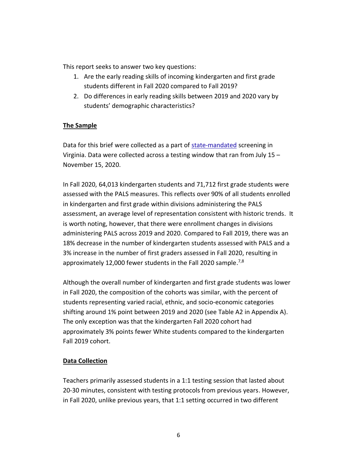This report seeks to answer two key questions:

- 1. Are the early reading skills of incoming kindergarten and first grade students different in Fall 2020 compared to Fall 2019?
- 2. Do differences in early reading skills between 2019 and 2020 vary by students' demographic characteristics?

#### **The Sample**

Data for this brief were collected as a part of [state-mandated](http://www.doe.virginia.gov/administrators/superintendents_memos/2020/214-20.docx) screening in Virginia. Data were collected across a testing window that ran from July 15 – November 15, 2020.

In Fall 2020, 64,013 kindergarten students and 71,712 first grade students were assessed with the PALS measures. This reflects over 90% of all students enrolled in kindergarten and first grade within divisions administering the PALS assessment, an average level of representation consistent with historic trends. It is worth noting, however, that there were enrollment changes in divisions administering PALS across 2019 and 2020. Compared to Fall 2019, there was an 18% decrease in the number of kindergarten students assessed with PALS and a 3% increase in the number of first graders assessed in Fall 2020, resulting in approximately 12,000 fewer students in the Fall 2020 sample.<sup>7,8</sup>

Although the overall number of kindergarten and first grade students was lower in Fall 2020, the composition of the cohorts was similar, with the percent of students representing varied racial, ethnic, and socio-economic categories shifting around 1% point between 2019 and 2020 (see Table A2 in Appendix A). The only exception was that the kindergarten Fall 2020 cohort had approximately 3% points fewer White students compared to the kindergarten Fall 2019 cohort.

#### **Data Collection**

Teachers primarily assessed students in a 1:1 testing session that lasted about 20-30 minutes, consistent with testing protocols from previous years. However, in Fall 2020, unlike previous years, that 1:1 setting occurred in two different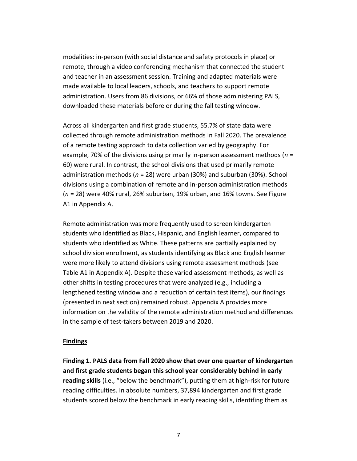modalities: in-person (with social distance and safety protocols in place) or remote, through a video conferencing mechanism that connected the student and teacher in an assessment session. Training and adapted materials were made available to local leaders, schools, and teachers to support remote administration. Users from 86 divisions, or 66% of those administering PALS, downloaded these materials before or during the fall testing window.

Across all kindergarten and first grade students, 55.7% of state data were collected through remote administration methods in Fall 2020. The prevalence of a remote testing approach to data collection varied by geography. For example, 70% of the divisions using primarily in-person assessment methods (*n* = 60) were rural. In contrast, the school divisions that used primarily remote administration methods (*n* = 28) were urban (30%) and suburban (30%). School divisions using a combination of remote and in-person administration methods (*n* = 28) were 40% rural, 26% suburban, 19% urban, and 16% towns. See Figure A1 in Appendix A.

Remote administration was more frequently used to screen kindergarten students who identified as Black, Hispanic, and English learner, compared to students who identified as White. These patterns are partially explained by school division enrollment, as students identifying as Black and English learner were more likely to attend divisions using remote assessment methods (see Table A1 in Appendix A). Despite these varied assessment methods, as well as other shifts in testing procedures that were analyzed (e.g., including a lengthened testing window and a reduction of certain test items), our findings (presented in next section) remained robust. Appendix A provides more information on the validity of the remote administration method and differences in the sample of test-takers between 2019 and 2020.

#### **Findings**

**Finding 1. PALS data from Fall 2020 show that over one quarter of kindergarten and first grade students began this school year considerably behind in early reading skills** (i.e., "below the benchmark"), putting them at high-risk for future reading difficulties. In absolute numbers, 37,894 kindergarten and first grade students scored below the benchmark in early reading skills, identifing them as

7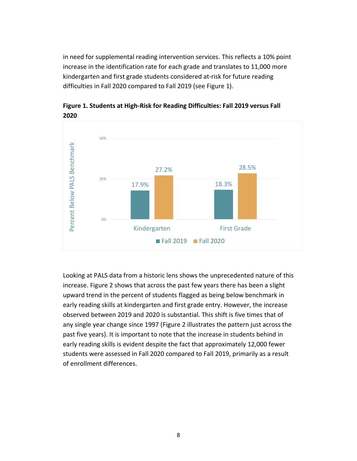in need for supplemental reading intervention services. This reflects a 10% point increase in the identification rate for each grade and translates to 11,000 more kindergarten and first grade students considered at-risk for future reading difficulties in Fall 2020 compared to Fall 2019 (see Figure 1).



**Figure 1. Students at High-Risk for Reading Difficulties: Fall 2019 versus Fall 2020**

Looking at PALS data from a historic lens shows the unprecedented nature of this increase. Figure 2 shows that across the past few years there has been a slight upward trend in the percent of students flagged as being below benchmark in early reading skills at kindergarten and first grade entry. However, the increase observed between 2019 and 2020 is substantial. This shift is five times that of any single year change since 1997 (Figure 2 illustrates the pattern just across the past five years). It is important to note that the increase in students behind in early reading skills is evident despite the fact that approximately 12,000 fewer students were assessed in Fall 2020 compared to Fall 2019, primarily as a result of enrollment differences.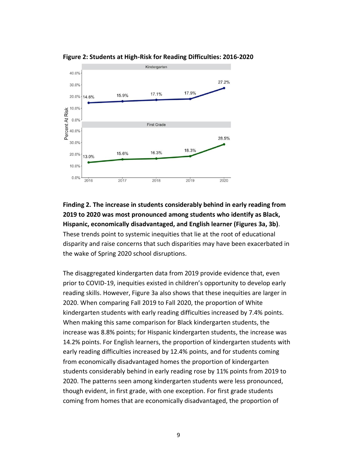

**Figure 2: Students at High-Risk for Reading Difficulties: 2016-2020**

### **Finding 2. The increase in students considerably behind in early reading from 2019 to 2020 was most pronounced among students who identify as Black, Hispanic, economically disadvantaged, and English learner (Figures 3a, 3b)**. These trends point to systemic inequities that lie at the root of educational disparity and raise concerns that such disparities may have been exacerbated in the wake of Spring 2020 school disruptions.

The disaggregated kindergarten data from 2019 provide evidence that, even prior to COVID-19, inequities existed in children's opportunity to develop early reading skills. However, Figure 3a also shows that these inequities are larger in 2020. When comparing Fall 2019 to Fall 2020, the proportion of White kindergarten students with early reading difficulties increased by 7.4% points. When making this same comparison for Black kindergarten students, the increase was 8.8% points; for Hispanic kindergarten students, the increase was 14.2% points. For English learners, the proportion of kindergarten students with early reading difficulties increased by 12.4% points, and for students coming from economically disadvantaged homes the proportion of kindergarten students considerably behind in early reading rose by 11% points from 2019 to 2020. The patterns seen among kindergarten students were less pronounced, though evident, in first grade, with one exception. For first grade students coming from homes that are economically disadvantaged, the proportion of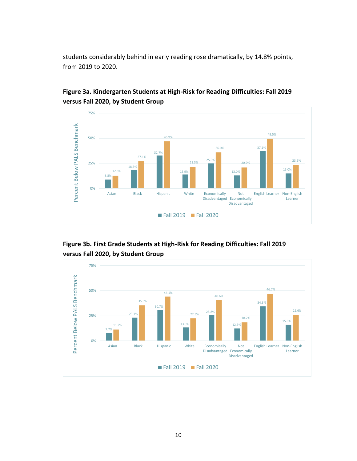students considerably behind in early reading rose dramatically, by 14.8% points, from 2019 to 2020.



**Figure 3a. Kindergarten Students at High-Risk for Reading Difficulties: Fall 2019 versus Fall 2020, by Student Group**



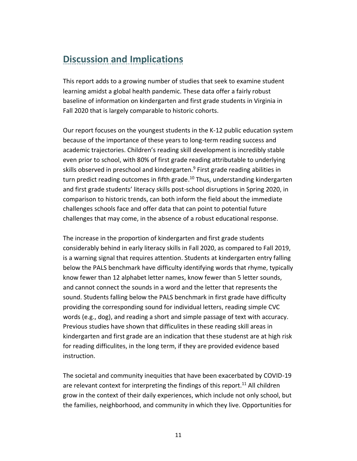# **Discussion and Implications**

This report adds to a growing number of studies that seek to examine student learning amidst a global health pandemic. These data offer a fairly robust baseline of information on kindergarten and first grade students in Virginia in Fall 2020 that is largely comparable to historic cohorts.

Our report focuses on the youngest students in the K-12 public education system because of the importance of these years to long-term reading success and academic trajectories. Children's reading skill development is incredibly stable even prior to school, with 80% of first grade reading attributable to underlying skills observed in preschool and kindergarten.<sup>9</sup> First grade reading abilities in turn predict reading outcomes in fifth grade.<sup>10</sup> Thus, understanding kindergarten and first grade students' literacy skills post-school disruptions in Spring 2020, in comparison to historic trends, can both inform the field about the immediate challenges schools face and offer data that can point to potential future challenges that may come, in the absence of a robust educational response.

The increase in the proportion of kindergarten and first grade students considerably behind in early literacy skills in Fall 2020, as compared to Fall 2019, is a warning signal that requires attention. Students at kindergarten entry falling below the PALS benchmark have difficulty identifying words that rhyme, typically know fewer than 12 alphabet letter names, know fewer than 5 letter sounds, and cannot connect the sounds in a word and the letter that represents the sound. Students falling below the PALS benchmark in first grade have difficulty providing the corresponding sound for individual letters, reading simple CVC words (e.g., dog), and reading a short and simple passage of text with accuracy. Previous studies have shown that difficulites in these reading skill areas in kindergarten and first grade are an indication that these studenst are at high risk for reading difficulites, in the long term, if they are provided evidence based instruction.

The societal and community inequities that have been exacerbated by COVID-19 are relevant context for interpreting the findings of this report.<sup>11</sup> All children grow in the context of their daily experiences, which include not only school, but the families, neighborhood, and community in which they live. Opportunities for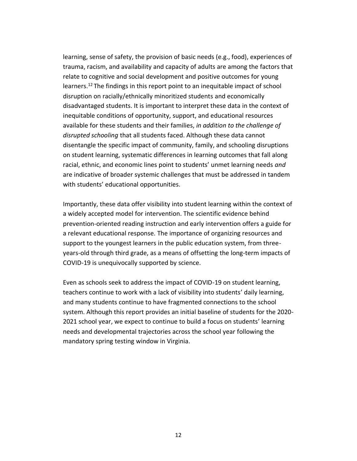learning, sense of safety, the provision of basic needs (e.g., food), experiences of trauma, racism, and availability and capacity of adults are among the factors that relate to cognitive and social development and positive outcomes for young learners.<sup>12</sup> The findings in this report point to an inequitable impact of school disruption on racially/ethnically minoritized students and economically disadvantaged students. It is important to interpret these data in the context of inequitable conditions of opportunity, support, and educational resources available for these students and their families, *in addition to the challenge of disrupted schooling* that all students faced. Although these data cannot disentangle the specific impact of community, family, and schooling disruptions on student learning, systematic differences in learning outcomes that fall along racial, ethnic, and economic lines point to students' unmet learning needs *and*  are indicative of broader systemic challenges that must be addressed in tandem with students' educational opportunities.

Importantly, these data offer visibility into student learning within the context of a widely accepted model for intervention. The scientific evidence behind prevention-oriented reading instruction and early intervention offers a guide for a relevant educational response. The importance of organizing resources and support to the youngest learners in the public education system, from threeyears-old through third grade, as a means of offsetting the long-term impacts of COVID-19 is unequivocally supported by science.

Even as schools seek to address the impact of COVID-19 on student learning, teachers continue to work with a lack of visibility into students' daily learning, and many students continue to have fragmented connections to the school system. Although this report provides an initial baseline of students for the 2020- 2021 school year, we expect to continue to build a focus on students' learning needs and developmental trajectories across the school year following the mandatory spring testing window in Virginia.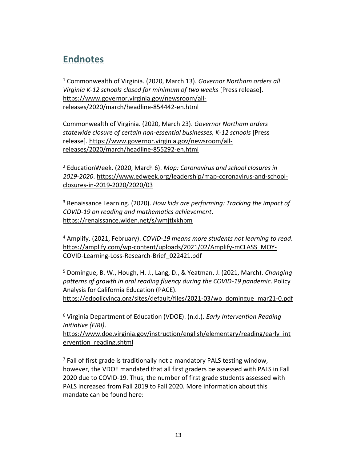# **Endnotes**

<sup>1</sup> Commonwealth of Virginia. (2020, March 13). *Governor Northam orders all Virginia K-12 schools closed for minimum of two weeks* [Press release]. [https://www.governor.virginia.gov/newsroom/all](https://www.governor.virginia.gov/newsroom/all-releases/2020/march/headline-854442-en.html)[releases/2020/march/headline-854442-en.html](https://www.governor.virginia.gov/newsroom/all-releases/2020/march/headline-854442-en.html)

Commonwealth of Virginia. (2020, March 23). *Governor Northam orders statewide closure of certain non-essential businesses, K-12 schools* [Press release][. https://www.governor.virginia.gov/newsroom/all](https://www.governor.virginia.gov/newsroom/all-releases/2020/march/headline-855292-en.html)[releases/2020/march/headline-855292-en.html](https://www.governor.virginia.gov/newsroom/all-releases/2020/march/headline-855292-en.html)

<sup>2</sup> EducationWeek. (2020, March 6). *Map: Coronavirus and school closures in 2019-2020*. [https://www.edweek.org/leadership/map-coronavirus-and-school](https://www.edweek.org/leadership/map-coronavirus-and-school-closures-in-2019-2020/2020/03)[closures-in-2019-2020/2020/03](https://www.edweek.org/leadership/map-coronavirus-and-school-closures-in-2019-2020/2020/03)

<sup>3</sup> Renaissance Learning. (2020). *How kids are performing: Tracking the impact of COVID-19 on reading and mathematics achievement*. <https://renaissance.widen.net/s/wmjtlxkhbm>

<sup>4</sup> Amplify. (2021, February). *COVID-19 means more students not learning to read*. [https://amplify.com/wp-content/uploads/2021/02/Amplify-mCLASS\\_MOY-](https://amplify.com/wp-content/uploads/2021/02/Amplify-mCLASS_MOY-COVID-Learning-Loss-Research-Brief_022421.pdf)[COVID-Learning-Loss-Research-Brief\\_022421.pdf](https://amplify.com/wp-content/uploads/2021/02/Amplify-mCLASS_MOY-COVID-Learning-Loss-Research-Brief_022421.pdf)

<sup>5</sup> Domingue, B. W., Hough, H. J., Lang, D., & Yeatman, J. (2021, March). *Changing patterns of growth in oral reading fluency during the COVID-19 pandemic*. Policy Analysis for California Education (PACE).

[https://edpolicyinca.org/sites/default/files/2021-03/wp\\_domingue\\_mar21-0.pdf](https://edpolicyinca.org/sites/default/files/2021-03/wp_domingue_mar21-0.pdf)

<sup>6</sup> Virginia Department of Education (VDOE). (n.d.). *Early Intervention Reading Initiative (EIRI)*.

[https://www.doe.virginia.gov/instruction/english/elementary/reading/early\\_int](https://www.doe.virginia.gov/instruction/english/elementary/reading/early_intervention_reading.shtml) [ervention\\_reading.shtml](https://www.doe.virginia.gov/instruction/english/elementary/reading/early_intervention_reading.shtml)

 $<sup>7</sup>$  Fall of first grade is traditionally not a mandatory PALS testing window,</sup> however, the VDOE mandated that all first graders be assessed with PALS in Fall 2020 due to COVID-19. Thus, the number of first grade students assessed with PALS increased from Fall 2019 to Fall 2020. More information about this mandate can be found here: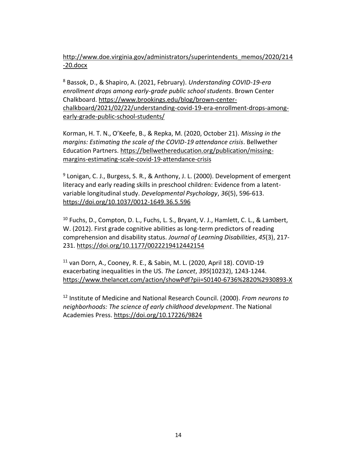[http://www.doe.virginia.gov/administrators/superintendents\\_memos/2020/214](http://www.doe.virginia.gov/administrators/superintendents_memos/2020/214-20.docx) [-20.docx](http://www.doe.virginia.gov/administrators/superintendents_memos/2020/214-20.docx)

<sup>8</sup> Bassok, D., & Shapiro, A. (2021, February). *Understanding COVID-19-era enrollment drops among early-grade public school students*. Brown Center Chalkboard. [https://www.brookings.edu/blog/brown-center](https://www.brookings.edu/blog/brown-center-chalkboard/2021/02/22/understanding-covid-19-era-enrollment-drops-among-early-grade-public-school-students/)[chalkboard/2021/02/22/understanding-covid-19-era-enrollment-drops-among](https://www.brookings.edu/blog/brown-center-chalkboard/2021/02/22/understanding-covid-19-era-enrollment-drops-among-early-grade-public-school-students/)[early-grade-public-school-students/](https://www.brookings.edu/blog/brown-center-chalkboard/2021/02/22/understanding-covid-19-era-enrollment-drops-among-early-grade-public-school-students/)

Korman, H. T. N., O'Keefe, B., & Repka, M. (2020, October 21). *Missing in the margins: Estimating the scale of the COVID-19 attendance crisis*. Bellwether Education Partners. [https://bellwethereducation.org/publication/missing](https://bellwethereducation.org/publication/missing-margins-estimating-scale-covid-19-attendance-crisis)[margins-estimating-scale-covid-19-attendance-crisis](https://bellwethereducation.org/publication/missing-margins-estimating-scale-covid-19-attendance-crisis)

<sup>9</sup> Lonigan, C. J., Burgess, S. R., & Anthony, J. L. (2000). Development of emergent literacy and early reading skills in preschool children: Evidence from a latentvariable longitudinal study. *Developmental Psychology*, *36*(5), 596-613. <https://doi.org/10.1037/0012-1649.36.5.596>

 $10$  Fuchs, D., Compton, D. L., Fuchs, L. S., Bryant, V. J., Hamlett, C. L., & Lambert, W. (2012). First grade cognitive abilities as long-term predictors of reading comprehension and disability status. *Journal of Learning Disabilities*, *45*(3), 217- 231.<https://doi.org/10.1177/0022219412442154>

<sup>11</sup> van Dorn, A., Cooney, R. E., & Sabin, M. L. (2020, April 18). COVID-19 exacerbating inequalities in the US. *The Lancet*, *395*(10232), 1243-1244. <https://www.thelancet.com/action/showPdf?pii=S0140-6736%2820%2930893-X>

12 Institute of Medicine and National Research Council. (2000). *From neurons to neighborhoods: The science of early childhood development*. The National Academies Press.<https://doi.org/10.17226/9824>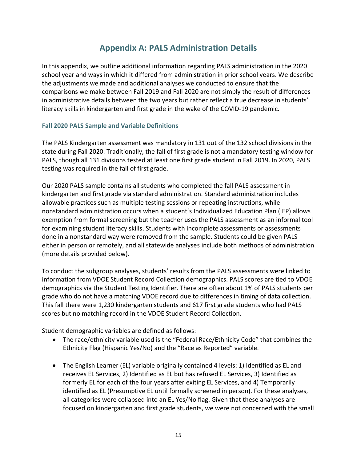## **Appendix A: PALS Administration Details**

In this appendix, we outline additional information regarding PALS administration in the 2020 school year and ways in which it differed from administration in prior school years. We describe the adjustments we made and additional analyses we conducted to ensure that the comparisons we make between Fall 2019 and Fall 2020 are not simply the result of differences in administrative details between the two years but rather reflect a true decrease in students' literacy skills in kindergarten and first grade in the wake of the COVID-19 pandemic.

#### **Fall 2020 PALS Sample and Variable Definitions**

The PALS Kindergarten assessment was mandatory in 131 out of the 132 school divisions in the state during Fall 2020. Traditionally, the fall of first grade is not a mandatory testing window for PALS, though all 131 divisions tested at least one first grade student in Fall 2019. In 2020, PALS testing was required in the fall of first grade.

Our 2020 PALS sample contains all students who completed the fall PALS assessment in kindergarten and first grade via standard administration. Standard administration includes allowable practices such as multiple testing sessions or repeating instructions, while nonstandard administration occurs when a student's Individualized Education Plan (IEP) allows exemption from formal screening but the teacher uses the PALS assessment as an informal tool for examining student literacy skills. Students with incomplete assessments or assessments done in a nonstandard way were removed from the sample. Students could be given PALS either in person or remotely, and all statewide analyses include both methods of administration (more details provided below).

To conduct the subgroup analyses, students' results from the PALS assessments were linked to information from VDOE Student Record Collection demographics. PALS scores are tied to VDOE demographics via the Student Testing Identifier. There are often about 1% of PALS students per grade who do not have a matching VDOE record due to differences in timing of data collection. This fall there were 1,230 kindergarten students and 617 first grade students who had PALS scores but no matching record in the VDOE Student Record Collection.

Student demographic variables are defined as follows:

- The race/ethnicity variable used is the "Federal Race/Ethnicity Code" that combines the Ethnicity Flag (Hispanic Yes/No) and the "Race as Reported" variable.
- The English Learner (EL) variable originally contained 4 levels: 1) Identified as EL and receives EL Services, 2) Identified as EL but has refused EL Services, 3) Identified as formerly EL for each of the four years after exiting EL Services, and 4) Temporarily identified as EL (Presumptive EL until formally screened in person). For these analyses, all categories were collapsed into an EL Yes/No flag. Given that these analyses are focused on kindergarten and first grade students, we were not concerned with the small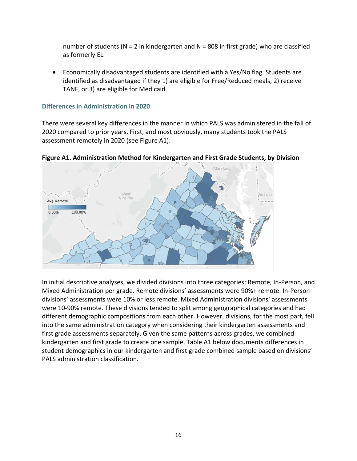number of students ( $N = 2$  in kindergarten and  $N = 808$  in first grade) who are classified as formerly EL.

• Economically disadvantaged students are identified with a Yes/No flag. Students are identified as disadvantaged if they 1) are eligible for Free/Reduced meals, 2) receive TANF, or 3) are eligible for Medicaid.

#### **Differences in Administration in 2020**

There were several key differences in the manner in which PALS was administered in the fall of 2020 compared to prior years. First, and most obviously, many students took the PALS assessment remotely in 2020 (see Figure A1).

**Figure A1. Administration Method for Kindergarten and First Grade Students, by Division** 



In initial descriptive analyses, we divided divisions into three categories: Remote, In-Person, and Mixed Administration per grade. Remote divisions' assessments were 90%+ remote. In-Person divisions' assessments were 10% or less remote. Mixed Administration divisions' assessments were 10-90% remote. These divisions tended to split among geographical categories and had different demographic compositions from each other. However, divisions, for the most part, fell into the same administration category when considering their kindergarten assessments and first grade assessments separately. Given the same patterns across grades, we combined kindergarten and first grade to create one sample. Table A1 below documents differences in student demographics in our kindergarten and first grade combined sample based on divisions' PALS administration classification.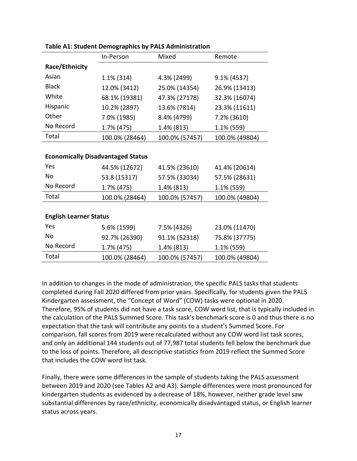|                               | In-Person                                | Mixed          | Remote         |
|-------------------------------|------------------------------------------|----------------|----------------|
| Race/Ethnicity                |                                          |                |                |
| Asian                         | $1.1\%$ (314)                            | 4.3% (2499)    | 9.1% (4537)    |
| <b>Black</b>                  | 12.0% (3412)                             | 25.0% (14354)  | 26.9% (13413)  |
| White                         | 68.1% (19381)                            | 47.3% (27178)  | 32.3% (16074)  |
| Hispanic                      | 10.2% (2897)                             | 13.6% (7814)   | 23.3% (11611)  |
| Other                         | 7.0% (1985)                              | 8.4% (4799)    | 7.2% (3610)    |
| No Record                     | 1.7% (475)                               | 1.4% (813)     | 1.1% (559)     |
| Total                         | 100.0% (28464)                           | 100.0% (57457) | 100.0% (49804) |
|                               |                                          |                |                |
|                               | <b>Economically Disadvantaged Status</b> |                |                |
| Yes                           | 44.5% (12672)                            | 41.5% (23610)  | 41.4% (20614)  |
| <b>No</b>                     | 53.8 (15317)                             | 57.5% (33034)  | 57.5% (28631)  |
| No Record                     | 1.7% (475)                               | 1.4% (813)     | 1.1% (559)     |
| Total                         | 100.0% (28464)                           | 100.0% (57457) | 100.0% (49804) |
|                               |                                          |                |                |
| <b>English Learner Status</b> |                                          |                |                |
| Yes                           | 5.6% (1599)                              | 7.5% (4326)    | 23.0% (11470)  |
| <b>No</b>                     | 92.7% (26390)                            | 91.1% (52318)  | 75.8% (37775)  |
| No Record                     | 1.7% (475)                               | 1.4% (813)     | 1.1% (559)     |
| Total                         | 100.0% (28464)                           | 100.0% (57457) | 100.0% (49804) |

| Table A1: Student Demographics by PALS Administration |  |
|-------------------------------------------------------|--|
|-------------------------------------------------------|--|

In addition to changes in the mode of administration, the specific PALS tasks that students completed during Fall 2020 differed from prior years. Specifically, for students given the PALS Kindergarten assessment, the "Concept of Word" (COW) tasks were optional in 2020. Therefore, 95% of students did not have a task score, COW word list, that is typically included in the calculation of the PALS Summed Score. This task's benchmark score is 0 and thus there is no expectation that the task will contribute any points to a student's Summed Score. For comparison, fall scores from 2019 were recalculated without any COW word list task scores, and only an additional 144 students out of 77,987 total students fell below the benchmark due to the loss of points. Therefore, all descriptive statistics from 2019 reflect the Summed Score that includes the COW word list task.

Finally, there were some differences in the sample of students taking the PALS assessment between 2019 and 2020 (see Tables A2 and A3). Sample differences were most pronounced for kindergarten students as evidenced by a decrease of 18%, however, neither grade level saw substantial differences by race/ethnicity, economically disadvantaged status, or English learner status across years.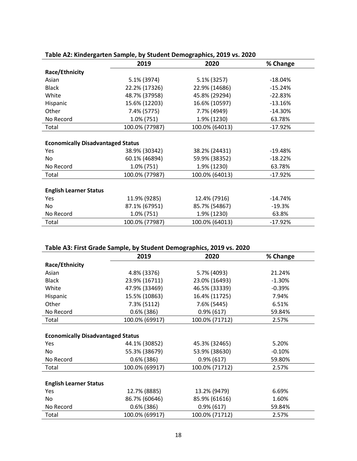|                                          | 2019           | 2020           | % Change  |
|------------------------------------------|----------------|----------------|-----------|
| Race/Ethnicity                           |                |                |           |
| Asian                                    | 5.1% (3974)    | 5.1% (3257)    | $-18.04%$ |
| <b>Black</b>                             | 22.2% (17326)  | 22.9% (14686)  | $-15.24%$ |
| White                                    | 48.7% (37958)  | 45.8% (29294)  | $-22.83%$ |
| Hispanic                                 | 15.6% (12203)  | 16.6% (10597)  | $-13.16%$ |
| Other                                    | 7.4% (5775)    | 7.7% (4949)    | $-14.30%$ |
| No Record                                | 1.0% (751)     | 1.9% (1230)    | 63.78%    |
| Total                                    | 100.0% (77987) | 100.0% (64013) | $-17.92%$ |
|                                          |                |                |           |
| <b>Economically Disadvantaged Status</b> |                |                |           |
| Yes                                      | 38.9% (30342)  | 38.2% (24431)  | $-19.48%$ |
| No.                                      | 60.1% (46894)  | 59.9% (38352)  | $-18.22%$ |
| No Record                                | 1.0% (751)     | 1.9% (1230)    | 63.78%    |
| Total                                    | 100.0% (77987) | 100.0% (64013) | $-17.92%$ |
|                                          |                |                |           |
| <b>English Learner Status</b>            |                |                |           |
| <b>Yes</b>                               | 11.9% (9285)   | 12.4% (7916)   | $-14.74%$ |
| No                                       | 87.1% (67951)  | 85.7% (54867)  | $-19.3%$  |
| No Record                                | 1.0% (751)     | 1.9% (1230)    | 63.8%     |
| Total                                    | 100.0% (77987) | 100.0% (64013) | $-17.92%$ |

#### **Table A2: Kindergarten Sample, by Student Demographics, 2019 vs. 2020**

#### **Table A3: First Grade Sample, by Student Demographics, 2019 vs. 2020**

|                                          | 2019           | 2020           | % Change |
|------------------------------------------|----------------|----------------|----------|
| Race/Ethnicity                           |                |                |          |
| Asian                                    | 4.8% (3376)    | 5.7% (4093)    | 21.24%   |
| <b>Black</b>                             | 23.9% (16711)  | 23.0% (16493)  | $-1.30%$ |
| White                                    | 47.9% (33469)  | 46.5% (33339)  | $-0.39%$ |
| Hispanic                                 | 15.5% (10863)  | 16.4% (11725)  | 7.94%    |
| Other                                    | 7.3% (5112)    | 7.6% (5445)    | 6.51%    |
| No Record                                | $0.6\%$ (386)  | $0.9\%$ (617)  | 59.84%   |
| Total                                    | 100.0% (69917) | 100.0% (71712) | 2.57%    |
|                                          |                |                |          |
| <b>Economically Disadvantaged Status</b> |                |                |          |
| Yes                                      | 44.1% (30852)  | 45.3% (32465)  | 5.20%    |
| No.                                      | 55.3% (38679)  | 53.9% (38630)  | $-0.10%$ |
| No Record                                | $0.6\%$ (386)  | $0.9\%$ (617)  | 59.80%   |
| Total                                    | 100.0% (69917) | 100.0% (71712) | 2.57%    |
|                                          |                |                |          |
| <b>English Learner Status</b>            |                |                |          |
| Yes                                      | 12.7% (8885)   | 13.2% (9479)   | 6.69%    |
| No.                                      | 86.7% (60646)  | 85.9% (61616)  | 1.60%    |
| No Record                                | $0.6\%$ (386)  | $0.9\%$ (617)  | 59.84%   |
| Total                                    | 100.0% (69917) | 100.0% (71712) | 2.57%    |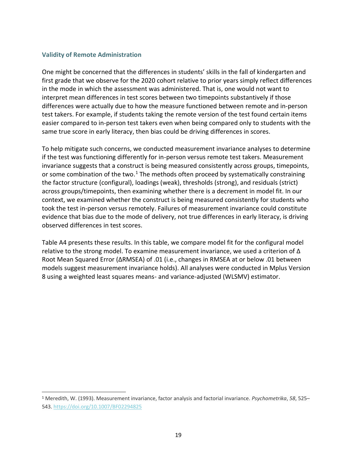#### **Validity of Remote Administration**

One might be concerned that the differences in students' skills in the fall of kindergarten and first grade that we observe for the 2020 cohort relative to prior years simply reflect differences in the mode in which the assessment was administered. That is, one would not want to interpret mean differences in test scores between two timepoints substantively if those differences were actually due to how the measure functioned between remote and in-person test takers. For example, if students taking the remote version of the test found certain items easier compared to in-person test takers even when being compared only to students with the same true score in early literacy, then bias could be driving differences in scores.

To help mitigate such concerns, we conducted measurement invariance analyses to determine if the test was functioning differently for in-person versus remote test takers. Measurement invariance suggests that a construct is being measured consistently across groups, timepoints, or some combination of the two.<sup>1</sup> The methods often proceed by systematically constraining the factor structure (configural), loadings (weak), thresholds (strong), and residuals (strict) across groups/timepoints, then examining whether there is a decrement in model fit. In our context, we examined whether the construct is being measured consistently for students who took the test in-person versus remotely. Failures of measurement invariance could constitute evidence that bias due to the mode of delivery, not true differences in early literacy, is driving observed differences in test scores.

Table A4 presents these results. In this table, we compare model fit for the configural model relative to the strong model. To examine measurement invariance, we used a criterion of Δ Root Mean Squared Error (ΔRMSEA) of .01 (i.e., changes in RMSEA at or below .01 between models suggest measurement invariance holds). All analyses were conducted in Mplus Version 8 using a weighted least squares means- and variance-adjusted (WLSMV) estimator.

<sup>1</sup> Meredith, W. (1993). Measurement invariance, factor analysis and factorial invariance. *Psychometrika*, *58*, 525– 543.<https://doi.org/10.1007/BF02294825>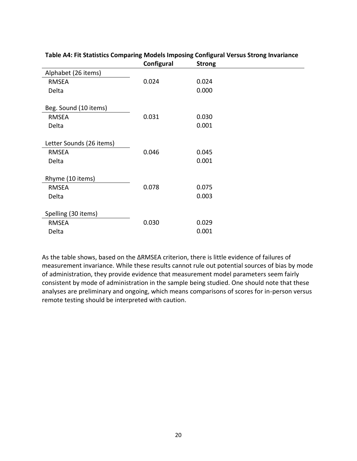|                          | Configural | <b>Strong</b> |
|--------------------------|------------|---------------|
| Alphabet (26 items)      |            |               |
| <b>RMSEA</b>             | 0.024      | 0.024         |
| Delta                    |            | 0.000         |
|                          |            |               |
| Beg. Sound (10 items)    |            |               |
| <b>RMSEA</b>             | 0.031      | 0.030         |
| Delta                    |            | 0.001         |
|                          |            |               |
| Letter Sounds (26 items) |            |               |
| <b>RMSEA</b>             | 0.046      | 0.045         |
| Delta                    |            | 0.001         |
|                          |            |               |
| Rhyme (10 items)         |            |               |
| <b>RMSEA</b>             | 0.078      | 0.075         |
| Delta                    |            | 0.003         |
|                          |            |               |
| Spelling (30 items)      |            |               |
| <b>RMSEA</b>             | 0.030      | 0.029         |
| Delta                    |            | 0.001         |

#### **Table A4: Fit Statistics Comparing Models Imposing Configural Versus Strong Invariance**

As the table shows, based on the ΔRMSEA criterion, there is little evidence of failures of measurement invariance. While these results cannot rule out potential sources of bias by mode of administration, they provide evidence that measurement model parameters seem fairly consistent by mode of administration in the sample being studied. One should note that these analyses are preliminary and ongoing, which means comparisons of scores for in-person versus remote testing should be interpreted with caution.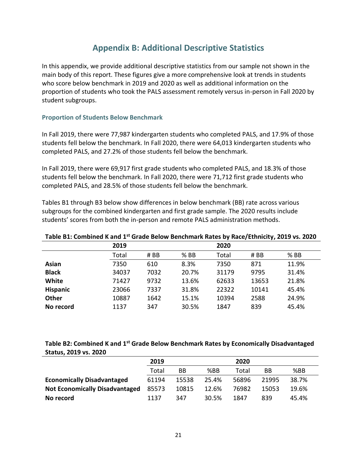## **Appendix B: Additional Descriptive Statistics**

In this appendix, we provide additional descriptive statistics from our sample not shown in the main body of this report. These figures give a more comprehensive look at trends in students who score below benchmark in 2019 and 2020 as well as additional information on the proportion of students who took the PALS assessment remotely versus in-person in Fall 2020 by student subgroups.

#### **Proportion of Students Below Benchmark**

In Fall 2019, there were 77,987 kindergarten students who completed PALS, and 17.9% of those students fell below the benchmark. In Fall 2020, there were 64,013 kindergarten students who completed PALS, and 27.2% of those students fell below the benchmark.

In Fall 2019, there were 69,917 first grade students who completed PALS, and 18.3% of those students fell below the benchmark. In Fall 2020, there were 71,712 first grade students who completed PALS, and 28.5% of those students fell below the benchmark.

Tables B1 through B3 below show differences in below benchmark (BB) rate across various subgroups for the combined kindergarten and first grade sample. The 2020 results include students' scores from both the in-person and remote PALS administration methods.

| Table D1: Combined it and 1   Grade Delow Denemiatic Rates by Race/Ethnicity, 2015 vs. 2020 |       |      |        |       |       |        |
|---------------------------------------------------------------------------------------------|-------|------|--------|-------|-------|--------|
|                                                                                             | 2019  |      |        | 2020  |       |        |
|                                                                                             | Total | # BB | $%$ BB | Total | # BB  | $%$ BB |
| Asian                                                                                       | 7350  | 610  | 8.3%   | 7350  | 871   | 11.9%  |
| <b>Black</b>                                                                                | 34037 | 7032 | 20.7%  | 31179 | 9795  | 31.4%  |
| White                                                                                       | 71427 | 9732 | 13.6%  | 62633 | 13653 | 21.8%  |
| <b>Hispanic</b>                                                                             | 23066 | 7337 | 31.8%  | 22322 | 10141 | 45.4%  |
| <b>Other</b>                                                                                | 10887 | 1642 | 15.1%  | 10394 | 2588  | 24.9%  |
| No record                                                                                   | 1137  | 347  | 30.5%  | 1847  | 839   | 45.4%  |

#### **Table B1: Combined K and 1st Grade Below Benchmark Rates by Race/Ethnicity, 2019 vs. 2020**

#### **Table B2: Combined K and 1st Grade Below Benchmark Rates by Economically Disadvantaged Status, 2019 vs. 2020**

|                                       | 2019  |       |       | 2020  |       |       |
|---------------------------------------|-------|-------|-------|-------|-------|-------|
|                                       | Total | ВB    | %BB   | Total | BB    | %BB   |
| <b>Economically Disadvantaged</b>     | 61194 | 15538 | 25.4% | 56896 | 21995 | 38.7% |
| <b>Not Economically Disadvantaged</b> | 85573 | 10815 | 12.6% | 76982 | 15053 | 19.6% |
| No record                             | 1137  | 347   | 30.5% | 1847  | 839   | 45.4% |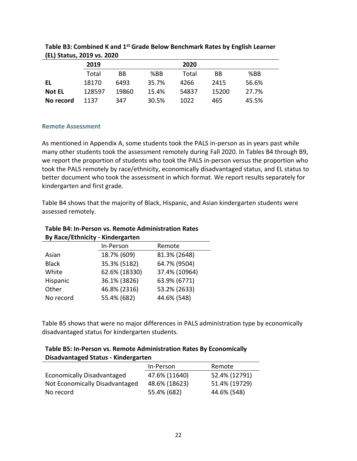|               | 2019   |       |       | 2020  |       |       |  |
|---------------|--------|-------|-------|-------|-------|-------|--|
|               | Total  | BB    | %BB   | Total | BB    | %BB   |  |
| EL            | 18170  | 6493  | 35.7% | 4266  | 2415  | 56.6% |  |
| <b>Not EL</b> | 128597 | 19860 | 15.4% | 54837 | 15200 | 27.7% |  |
| No record     | 1137   | 347   | 30.5% | 1022  | 465   | 45.5% |  |

| Table B3: Combined K and 1 <sup>st</sup> Grade Below Benchmark Rates by English Learner |  |
|-----------------------------------------------------------------------------------------|--|
| (EL) Status, 2019 vs. 2020                                                              |  |

#### **Remote Assessment**

As mentioned in Appendix A, some students took the PALS in-person as in years past while many other students took the assessment remotely during Fall 2020. In Tables B4 through B9, we report the proportion of students who took the PALS in-person versus the proportion who took the PALS remotely by race/ethnicity, economically disadvantaged status, and EL status to better document who took the assessment in which format. We report results separately for kindergarten and first grade.

Table B4 shows that the majority of Black, Hispanic, and Asian kindergarten students were assessed remotely.

#### **Table B4: In-Person vs. Remote Administration Rates By Race/Ethnicity - Kindergarten**

| In-Person     | Remote        |
|---------------|---------------|
| 18.7% (609)   | 81.3% (2648)  |
| 35.3% (5182)  | 64.7% (9504)  |
| 62.6% (18330) | 37.4% (10964) |
| 36.1% (3826)  | 63.9% (6771)  |
| 46.8% (2316)  | 53.2% (2633)  |
| 55.4% (682)   | 44.6% (548)   |
|               |               |

Table B5 shows that were no major differences in PALS administration type by economically disadvantaged status for kindergarten students.

| Table B5: In-Person vs. Remote Administration Rates By Economically |  |
|---------------------------------------------------------------------|--|
| Disadvantaged Status - Kindergarten                                 |  |

|                                | In-Person     | Remote        |
|--------------------------------|---------------|---------------|
| Economically Disadvantaged     | 47.6% (11640) | 52.4% (12791) |
| Not Economically Disadvantaged | 48.6% (18623) | 51.4% (19729) |
| No record                      | 55.4% (682)   | 44.6% (548)   |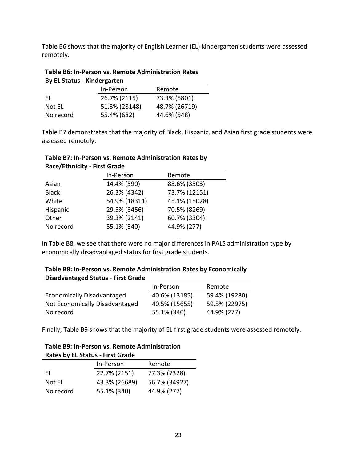Table B6 shows that the majority of English Learner (EL) kindergarten students were assessed remotely.

#### **Table B6: In-Person vs. Remote Administration Rates By EL Status - Kindergarten**

| ___________________________ |               |               |  |
|-----------------------------|---------------|---------------|--|
|                             | In-Person     | Remote        |  |
| FI.                         | 26.7% (2115)  | 73.3% (5801)  |  |
| Not EL                      | 51.3% (28148) | 48.7% (26719) |  |
| No record                   | 55.4% (682)   | 44.6% (548)   |  |

Table B7 demonstrates that the majority of Black, Hispanic, and Asian first grade students were assessed remotely.

| Race/Ethnicity - First Grade |               |               |  |
|------------------------------|---------------|---------------|--|
|                              | In-Person     | Remote        |  |
| Asian                        | 14.4% (590)   | 85.6% (3503)  |  |
| <b>Black</b>                 | 26.3% (4342)  | 73.7% (12151) |  |
| White                        | 54.9% (18311) | 45.1% (15028) |  |
| Hispanic                     | 29.5% (3456)  | 70.5% (8269)  |  |
| Other                        | 39.3% (2141)  | 60.7% (3304)  |  |
| No record                    | 55.1% (340)   | 44.9% (277)   |  |

| Table B7: In-Person vs. Remote Administration Rates by |
|--------------------------------------------------------|
| <b>Race/Ethnicity - First Grade</b>                    |

In Table B8, we see that there were no major differences in PALS administration type by economically disadvantaged status for first grade students.

| Table B8: In-Person vs. Remote Administration Rates by Economically |  |
|---------------------------------------------------------------------|--|
| <b>Disadvantaged Status - First Grade</b>                           |  |

|                                | In-Person     | Remote        |
|--------------------------------|---------------|---------------|
| Economically Disadvantaged     | 40.6% (13185) | 59.4% (19280) |
| Not Economically Disadvantaged | 40.5% (15655) | 59.5% (22975) |
| No record                      | 55.1% (340)   | 44.9% (277)   |

Finally, Table B9 shows that the majority of EL first grade students were assessed remotely.

| <b>Rates by EL Status - First Grade</b> |               |               |  |  |
|-----------------------------------------|---------------|---------------|--|--|
|                                         | In-Person     | Remote        |  |  |
| FI.                                     | 22.7% (2151)  | 77.3% (7328)  |  |  |
| Not EL                                  | 43.3% (26689) | 56.7% (34927) |  |  |
| No record                               | 55.1% (340)   | 44.9% (277)   |  |  |

**Table B9: In-Person vs. Remote Administration**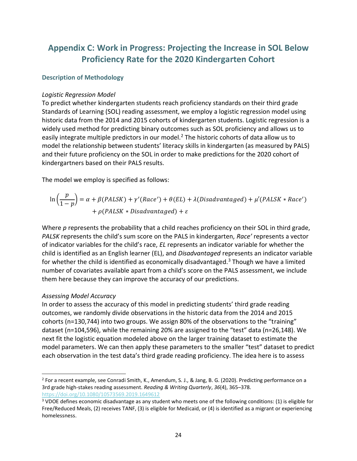# **Appendix C: Work in Progress: Projecting the Increase in SOL Below Proficiency Rate for the 2020 Kindergarten Cohort**

#### **Description of Methodology**

#### *Logistic Regression Model*

To predict whether kindergarten students reach proficiency standards on their third grade Standards of Learning (SOL) reading assessment, we employ a logistic regression model using historic data from the 2014 and 2015 cohorts of kindergarten students. Logistic regression is a widely used method for predicting binary outcomes such as SOL proficiency and allows us to easily integrate multiple predictors in our model.<sup>2</sup> The historic cohorts of data allow us to model the relationship between students' literacy skills in kindergarten (as measured by PALS) and their future proficiency on the SOL in order to make predictions for the 2020 cohort of kindergartners based on their PALS results.

The model we employ is specified as follows:

$$
\ln\left(\frac{p}{1-p}\right) = \alpha + \beta(PALSK) + \gamma'(Race') + \theta(EL) + \lambda(Disadvantage d) + \mu'(PALSK * Race') + \rho(PALSK * Disadvantage d) + \varepsilon
$$

Where *p* represents the probability that a child reaches proficiency on their SOL in third grade, *PALSK* represents the child's sum score on the PALS in kindergarten, *Race'* represents a vector of indicator variables for the child's race, *EL* represents an indicator variable for whether the child is identified as an English learner (EL), and *Disadvantaged* represents an indicator variable for whether the child is identified as economically disadvantaged.<sup>3</sup> Though we have a limited number of covariates available apart from a child's score on the PALS assessment, we include them here because they can improve the accuracy of our predictions.

#### *Assessing Model Accuracy*

In order to assess the accuracy of this model in predicting students' third grade reading outcomes, we randomly divide observations in the historic data from the 2014 and 2015 cohorts (n=130,744) into two groups. We assign 80% of the observations to the "training" dataset (n=104,596), while the remaining 20% are assigned to the "test" data (n=26,148). We next fit the logistic equation modeled above on the larger training dataset to estimate the model parameters. We can then apply these parameters to the smaller "test" dataset to predict each observation in the test data's third grade reading proficiency. The idea here is to assess

<sup>2</sup> For a recent example, see Conradi Smith, K., Amendum, S. J., & Jang, B. G. (2020). Predicting performance on a 3rd grade high-stakes reading assessment. *Reading & Writing Quarterly*, *36*(4), 365–378. <https://doi.org/10.1080/10573569.2019.1649612>

<sup>3</sup> VDOE defines economic disadvantage as any student who meets one of the following conditions: (1) is eligible for Free/Reduced Meals, (2) receives TANF, (3) is eligible for Medicaid, or (4) is identified as a migrant or experiencing homelessness.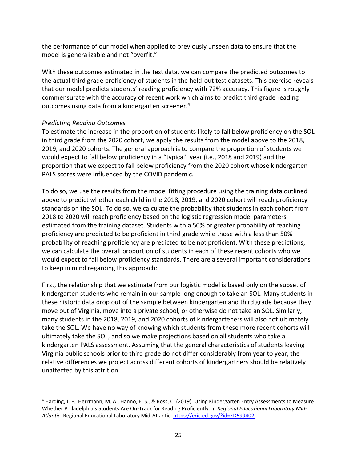the performance of our model when applied to previously unseen data to ensure that the model is generalizable and not "overfit."

With these outcomes estimated in the test data, we can compare the predicted outcomes to the actual third grade proficiency of students in the held-out test datasets. This exercise reveals that our model predicts students' reading proficiency with 72% accuracy. This figure is roughly commensurate with the accuracy of recent work which aims to predict third grade reading outcomes using data from a kindergarten screener.<sup>4</sup>

#### *Predicting Reading Outcomes*

To estimate the increase in the proportion of students likely to fall below proficiency on the SOL in third grade from the 2020 cohort, we apply the results from the model above to the 2018, 2019, and 2020 cohorts. The general approach is to compare the proportion of students we would expect to fall below proficiency in a "typical" year (i.e., 2018 and 2019) and the proportion that we expect to fall below proficiency from the 2020 cohort whose kindergarten PALS scores were influenced by the COVID pandemic.

To do so, we use the results from the model fitting procedure using the training data outlined above to predict whether each child in the 2018, 2019, and 2020 cohort will reach proficiency standards on the SOL. To do so, we calculate the probability that students in each cohort from 2018 to 2020 will reach proficiency based on the logistic regression model parameters estimated from the training dataset. Students with a 50% or greater probability of reaching proficiency are predicted to be proficient in third grade while those with a less than 50% probability of reaching proficiency are predicted to be not proficient. With these predictions, we can calculate the overall proportion of students in each of these recent cohorts who we would expect to fall below proficiency standards. There are a several important considerations to keep in mind regarding this approach:

First, the relationship that we estimate from our logistic model is based only on the subset of kindergarten students who remain in our sample long enough to take an SOL. Many students in these historic data drop out of the sample between kindergarten and third grade because they move out of Virginia, move into a private school, or otherwise do not take an SOL. Similarly, many students in the 2018, 2019, and 2020 cohorts of kindergarteners will also not ultimately take the SOL. We have no way of knowing which students from these more recent cohorts will ultimately take the SOL, and so we make projections based on all students who take a kindergarten PALS assessment. Assuming that the general characteristics of students leaving Virginia public schools prior to third grade do not differ considerably from year to year, the relative differences we project across different cohorts of kindergartners should be relatively unaffected by this attrition.

<sup>4</sup> Harding, J. F., Herrmann, M. A., Hanno, E. S., & Ross, C. (2019). Using Kindergarten Entry Assessments to Measure Whether Philadelphia's Students Are On-Track for Reading Proficiently. In *Regional Educational Laboratory Mid-Atlantic*. Regional Educational Laboratory Mid-Atlantic[. https://eric.ed.gov/?id=ED599402](https://eric.ed.gov/?id=ED599402)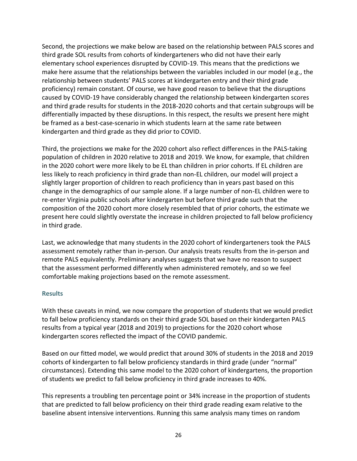Second, the projections we make below are based on the relationship between PALS scores and third grade SOL results from cohorts of kindergarteners who did not have their early elementary school experiences disrupted by COVID-19. This means that the predictions we make here assume that the relationships between the variables included in our model (e.g., the relationship between students' PALS scores at kindergarten entry and their third grade proficiency) remain constant. Of course, we have good reason to believe that the disruptions caused by COVID-19 have considerably changed the relationship between kindergarten scores and third grade results for students in the 2018-2020 cohorts and that certain subgroups will be differentially impacted by these disruptions. In this respect, the results we present here might be framed as a best-case-scenario in which students learn at the same rate between kindergarten and third grade as they did prior to COVID.

Third, the projections we make for the 2020 cohort also reflect differences in the PALS-taking population of children in 2020 relative to 2018 and 2019. We know, for example, that children in the 2020 cohort were more likely to be EL than children in prior cohorts. If EL children are less likely to reach proficiency in third grade than non-EL children, our model will project a slightly larger proportion of children to reach proficiency than in years past based on this change in the demographics of our sample alone. If a large number of non-EL children were to re-enter Virginia public schools after kindergarten but before third grade such that the composition of the 2020 cohort more closely resembled that of prior cohorts, the estimate we present here could slightly overstate the increase in children projected to fall below proficiency in third grade.

Last, we acknowledge that many students in the 2020 cohort of kindergarteners took the PALS assessment remotely rather than in-person. Our analysis treats results from the in-person and remote PALS equivalently. Preliminary analyses suggests that we have no reason to suspect that the assessment performed differently when administered remotely, and so we feel comfortable making projections based on the remote assessment.

#### **Results**

With these caveats in mind, we now compare the proportion of students that we would predict to fall below proficiency standards on their third grade SOL based on their kindergarten PALS results from a typical year (2018 and 2019) to projections for the 2020 cohort whose kindergarten scores reflected the impact of the COVID pandemic.

Based on our fitted model, we would predict that around 30% of students in the 2018 and 2019 cohorts of kindergarten to fall below proficiency standards in third grade (under "normal" circumstances). Extending this same model to the 2020 cohort of kindergartens, the proportion of students we predict to fall below proficiency in third grade increases to 40%.

This represents a troubling ten percentage point or 34% increase in the proportion of students that are predicted to fall below proficiency on their third grade reading exam relative to the baseline absent intensive interventions. Running this same analysis many times on random